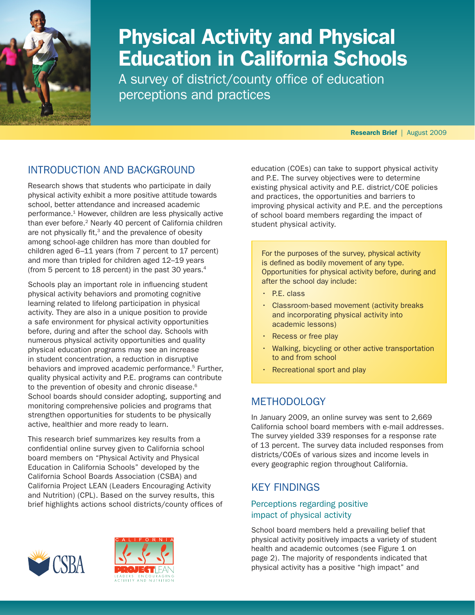

# Physical Activity and Physical Education in California Schools

A survey of district/county office of education perceptions and practices

Research Brief | August 2009

# Introduction and background

Research shows that students who participate in daily physical activity exhibit a more positive attitude towards school, better attendance and increased academic performance.<sup>1</sup> However, children are less physically active than ever before.<sup>2</sup> Nearly 40 percent of California children are not physically fit, $3$  and the prevalence of obesity among school-age children has more than doubled for children aged 6–11 years (from 7 percent to 17 percent) and more than tripled for children aged 12–19 years (from 5 percent to 18 percent) in the past 30 years.4

Schools play an important role in influencing student physical activity behaviors and promoting cognitive learning related to lifelong participation in physical activity. They are also in a unique position to provide a safe environment for physical activity opportunities before, during and after the school day. Schools with numerous physical activity opportunities and quality physical education programs may see an increase in student concentration, a reduction in disruptive behaviors and improved academic performance.<sup>5</sup> Further, quality physical activity and P.E. programs can contribute to the prevention of obesity and chronic disease.<sup>6</sup> School boards should consider adopting, supporting and monitoring comprehensive policies and programs that strengthen opportunities for students to be physically active, healthier and more ready to learn.

This research brief summarizes key results from a confidential online survey given to California school board members on "Physical Activity and Physical Education in California Schools" developed by the California School Boards Association (CSBA) and California Project LEAN (Leaders Encouraging Activity and Nutrition) (CPL). Based on the survey results, this brief highlights actions school districts/county offices of





education (COEs) can take to support physical activity and P.E. The survey objectives were to determine existing physical activity and P.E. district/COE policies and practices, the opportunities and barriers to improving physical activity and P.E. and the perceptions of school board members regarding the impact of student physical activity.

For the purposes of the survey, physical activity is defined as bodily movement of any type. Opportunities for physical activity before, during and after the school day include:

- $\cdot$  P.E. class
- Classroom-based movement (activity breaks and incorporating physical activity into academic lessons)
- Recess or free play
- Walking, bicycling or other active transportation to and from school
- Recreational sport and play

# **METHODOLOGY**

In January 2009, an online survey was sent to 2,669 California school board members with e-mail addresses. The survey yielded 339 responses for a response rate of 13 percent. The survey data included responses from districts/COEs of various sizes and income levels in every geographic region throughout California.

# Key Findings

# Perceptions regarding positive impact of physical activity

School board members held a prevailing belief that physical activity positively impacts a variety of student health and academic outcomes (see Figure 1 on page 2). The majority of respondents indicated that physical activity has a positive "high impact" and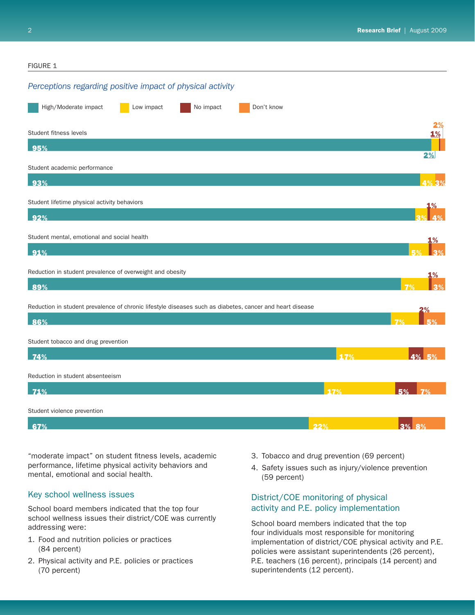#### *Perceptions regarding positive impact of physical activity* **FIGURE 1** High/Moderate impact Low impact No impact Don't know 95% 93% 92% 91% 89% 86% 74% 71% 67% 3% 5% 7% 3% 3% 7% 5% 17% 4% 5% 17% 5% 7% 22% 3% 2% 1% 1% 4% 4% 1% 2% 2% 1% 8% 3% Student fitness levels Student lifetime physical activity behaviors Reduction in student prevalence of overweight and obesity Reduction in student prevalence of chronic lifestyle diseases such as diabetes, cancer and heart disease Student academic performance Student mental, emotional and social health Student tobacco and drug prevention Reduction in student absenteeism Student violence prevention

"moderate impact" on student fitness levels, academic performance, lifetime physical activity behaviors and mental, emotional and social health.

# Key school wellness issues

School board members indicated that the top four school wellness issues their district/COE was currently addressing were:

- 1. Food and nutrition policies or practices (84 percent)
- 2. Physical activity and P.E. policies or practices (70 percent)
- 3. Tobacco and drug prevention (69 percent)
- 4. Safety issues such as injury/violence prevention (59 percent)

# District/COE monitoring of physical activity and P.E. policy implementation

School board members indicated that the top four individuals most responsible for monitoring implementation of district/COE physical activity and P.E. policies were assistant superintendents (26 percent), P.E. teachers (16 percent), principals (14 percent) and superintendents (12 percent).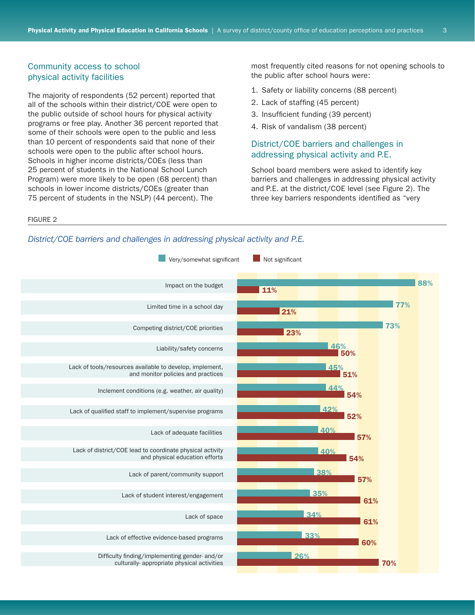#### Community access to school physical activity facilities

The majority of respondents (52 percent) reported that all of the schools within their district/COE were open to the public outside of school hours for physical activity programs or free play. Another 36 percent reported that some of their schools were open to the public and less than 10 percent of respondents said that none of their schools were open to the public after school hours. Schools in higher income districts/COEs (less than 25 percent of students in the National School Lunch Program) were more likely to be open (68 percent) than schools in lower income districts/COEs (greater than 75 percent of students in the NSLP) (44 percent). The

most frequently cited reasons for not opening schools to the public after school hours were:

- 1. Safety or liability concerns (88 percent)
- 2. Lack of staffing (45 percent)
- 3. Insufficient funding (39 percent)
- 4. Risk of vandalism (38 percent)

## District/COE barriers and challenges in addressing physical activity and P.E.

School board members were asked to identify key barriers and challenges in addressing physical activity and P.E. at the district/COE level (see Figure 2). The three key barriers respondents identified as "very

Figure 2

#### *District/COE barriers and challenges in addressing physical activity and P.E.*

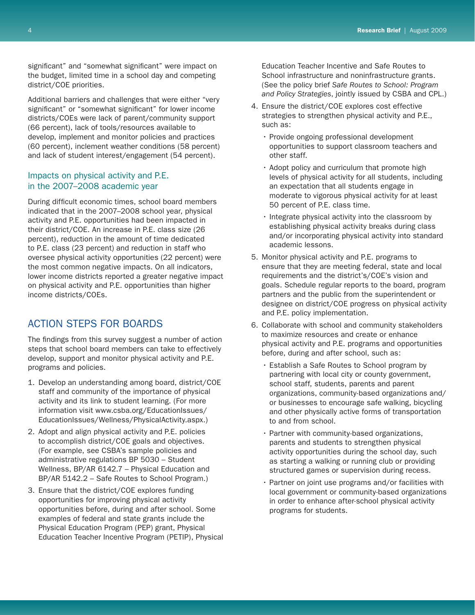significant" and "somewhat significant" were impact on the budget, limited time in a school day and competing district/COE priorities.

Additional barriers and challenges that were either "very significant" or "somewhat significant" for lower income districts/COEs were lack of parent/community support (66 percent), lack of tools/resources available to develop, implement and monitor policies and practices (60 percent), inclement weather conditions (58 percent) and lack of student interest/engagement (54 percent).

### Impacts on physical activity and P.E. in the 2007–2008 academic year

During difficult economic times, school board members indicated that in the 2007–2008 school year, physical activity and P.E. opportunities had been impacted in their district/COE. An increase in P.E. class size (26 percent), reduction in the amount of time dedicated to P.E. class (23 percent) and reduction in staff who oversee physical activity opportunities (22 percent) were the most common negative impacts. On all indicators, lower income districts reported a greater negative impact on physical activity and P.E. opportunities than higher income districts/COEs.

# Action steps for boards

The findings from this survey suggest a number of action steps that school board members can take to effectively develop, support and monitor physical activity and P.E. programs and policies.

- 1. Develop an understanding among board, district/COE staff and community of the importance of physical activity and its link to student learning. (For more information visit [www.csba.org/EducationIssues/](www.csba.org/EducationIssues/EducationIssues/Wellness/PhysicalActivity.aspx) [EducationIssues/Wellness/PhysicalActivity.asp](www.csba.org/EducationIssues/EducationIssues/Wellness/PhysicalActivity.aspx)x.)
- 2. Adopt and align physical activity and P.E. policies to accomplish district/COE goals and objectives. (For example, see CSBA's sample policies and administrative regulations BP 5030 – Student Wellness, BP/AR 6142.7 – Physical Education and BP/AR 5142.2 – Safe Routes to School Program.)
- 3. Ensure that the district/COE explores funding opportunities for improving physical activity opportunities before, during and after school. Some examples of federal and state grants include the Physical Education Program (PEP) grant, Physical Education Teacher Incentive Program (PETIP), Physical

Education Teacher Incentive and Safe Routes to School infrastructure and noninfrastructure grants. (See the policy brief *Safe Routes to School: Program and Policy Strategies*, jointly issued by CSBA and CPL.)

- 4. Ensure the district/COE explores cost effective strategies to strengthen physical activity and P.E., such as:
	- Provide ongoing professional development opportunities to support classroom teachers and other staff.
	- $\cdot$  Adopt policy and curriculum that promote high levels of physical activity for all students, including an expectation that all students engage in moderate to vigorous physical activity for at least 50 percent of P.E. class time.
	- Integrate physical activity into the classroom by establishing physical activity breaks during class and/or incorporating physical activity into standard academic lessons.
- 5. Monitor physical activity and P.E. programs to ensure that they are meeting federal, state and local requirements and the district's/COE's vision and goals. Schedule regular reports to the board, program partners and the public from the superintendent or designee on district/COE progress on physical activity and P.E. policy implementation.
- 6. Collaborate with school and community stakeholders to maximize resources and create or enhance physical activity and P.E. programs and opportunities before, during and after school, such as:
	- • Establish a Safe Routes to School program by partnering with local city or county government, school staff, students, parents and parent organizations, community-based organizations and/ or businesses to encourage safe walking, bicycling and other physically active forms of transportation to and from school.
	- Partner with community-based organizations, parents and students to strengthen physical activity opportunities during the school day, such as starting a walking or running club or providing structured games or supervision during recess.
	- • Partner on joint use programs and/or facilities with local government or community-based organizations in order to enhance after-school physical activity programs for students.